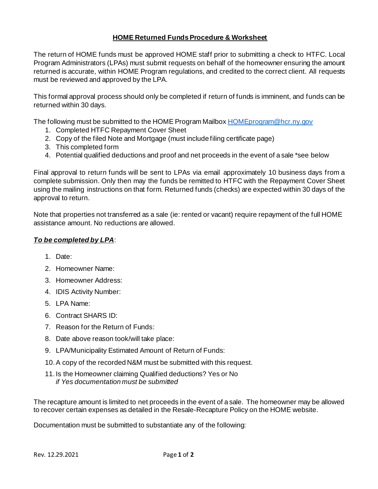## **HOME Returned Funds Procedure & Worksheet**

The return of HOME funds must be approved HOME staff prior to submitting a check to HTFC. Local Program Administrators (LPAs) must submit requests on behalf of the homeowner ensuring the amount returned is accurate, within HOME Program regulations, and credited to the correct client. All requests must be reviewed and approved by the LPA.

This formal approval process should only be completed if return of funds is imminent, and funds can be returned within 30 days.

The following must be submitted to the HOME Program Mailbox **HOME** program @hcr.ny.gov

- 1. Completed HTFC Repayment Cover Sheet
- 2. Copy of the filed Note and Mortgage (must include filing certificate page)
- 3. This completed form
- 4. Potential qualified deductions and proof and net proceeds in the event of a sale \*see below

Final approval to return funds will be sent to LPAs via email approximately 10 business days from a complete submission. Only then may the funds be remitted to HTFC with the Repayment Cover Sheet using the mailing instructions on that form. Returned funds (checks) are expected within 30 days of the approval to return.

Note that properties not transferred as a sale (ie: rented or vacant) require repayment of the full HOME assistance amount. No reductions are allowed.

## *To be completed by LPA*:

- 1. Date:
- 2. Homeowner Name:
- 3. Homeowner Address:
- 4. IDIS Activity Number:
- 5. LPA Name:
- 6. Contract SHARS ID:
- 7. Reason for the Return of Funds:
- 8. Date above reason took/will take place:
- 9. LPA/Municipality Estimated Amount of Return of Funds:
- 10.A copy of the recorded N&M must be submitted with this request.
- 11. Is the Homeowner claiming Qualified deductions? Yes or No *if Yes documentation must be submitted*

The recapture amount is limited to net proceeds in the event of a sale. The homeowner may be allowed to recover certain expenses as detailed in the Resale-Recapture Policy on the HOME website.

Documentation must be submitted to substantiate any of the following: